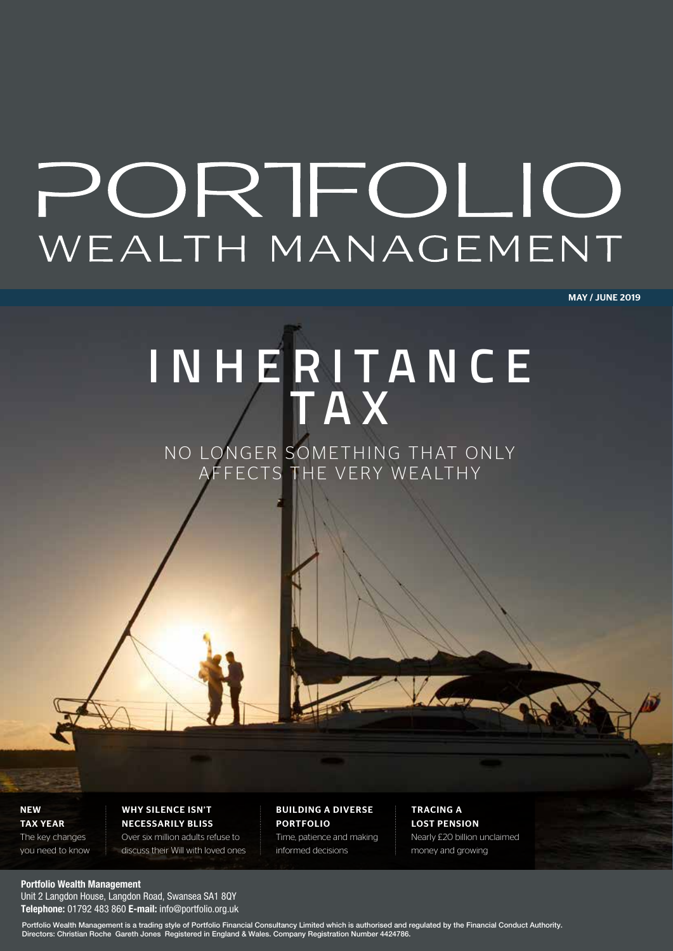# PORTFOLIO WEALTH MANAGEMENT

MAY / JUNE 2019

## **INH E R I T ANC E T A X**

NO LONGER SOMETHING THAT ONLY AFFECTS THE VERY WEALTHY

**NEW** TAX YEAR

The key changes you need to know WHY SILENCE ISN'T NECESSARILY BLISS Over six million adults refuse to

discuss their Will with loved ones

BUILDING A DIVERSE PORTFOLIO Time, patience and making

informed decisions

TRACING A LOST PENSION Nearly £20 billion unclaimed money and growing

#### **Portfolio Wealth Management**

Unit 2 Langdon House, Langdon Road, Swansea SA1 8QY **Telephone:** 01792 483 860 **E-mail:** info@portfolio.org.uk

Portfolio Wealth Management is a trading style of Portfolio Financial Consultancy Limited which is authorised and regulated by the Financial Conduct Authority. Directors: Christian Roche Gareth Jones Registered in England & Wales. Company Registration Number 4424786.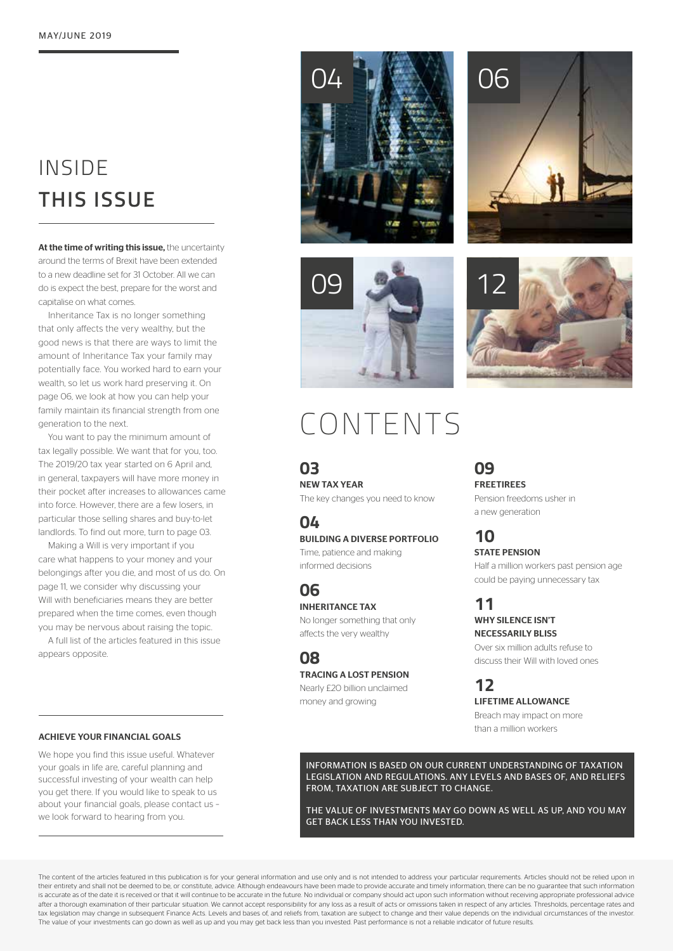## INSIDE **THIS ISSUE**

At the time of writing this issue, the uncertainty around the terms of Brexit have been extended to a new deadline set for 31 October. All we can do is expect the best, prepare for the worst and capitalise on what comes.

Inheritance Tax is no longer something that only affects the very wealthy, but the good news is that there are ways to limit the amount of Inheritance Tax your family may potentially face. You worked hard to earn your wealth, so let us work hard preserving it. On page 06, we look at how you can help your family maintain its financial strength from one generation to the next.

You want to pay the minimum amount of tax legally possible. We want that for you, too. The 2019/20 tax year started on 6 April and, in general, taxpayers will have more money in their pocket after increases to allowances came into force. However, there are a few losers, in particular those selling shares and buy-to-let landlords. To find out more, turn to page 03.

Making a Will is very important if you care what happens to your money and your belongings after you die, and most of us do. On page 11, we consider why discussing your Will with beneficiaries means they are better prepared when the time comes, even though you may be nervous about raising the topic.

A full list of the articles featured in this issue appears opposite.





## CONTENTS

**03** NEW TAX YEAR The key changes you need to know

## **04**

BUILDING A DIVERSE PORTFOLIO

Time, patience and making informed decisions

**06** INHERITANCE TAX No longer something that only

affects the very wealthy

**08** TRACING A LOST PENSION Nearly £20 billion unclaimed

money and growing

**09** FREETIREES

Pension freedoms usher in a new generation

**10** STATE PENSION Half a million workers past pension age could be paying unnecessary tax

#### **11** WHY SILENCE ISN'T NECESSARILY BLISS

Over six million adults refuse to discuss their Will with loved ones

**12**

LIFETIME ALLOWANCE Breach may impact on more

than a million workers

ACHIEVE YOUR FINANCIAL GOALS

We hope you find this issue useful. Whatever your goals in life are, careful planning and successful investing of your wealth can help you get there. If you would like to speak to us about your financial goals, please contact us – we look forward to hearing from you.

INFORMATION IS BASED ON OUR CURRENT UNDERSTANDING OF TAXATION LEGISLATION AND REGULATIONS. ANY LEVELS AND BASES OF, AND RELIEFS FROM, TAXATION ARE SUBJECT TO CHANGE.

THE VALUE OF INVESTMENTS MAY GO DOWN AS WELL AS UP, AND YOU MAY GET BACK LESS THAN YOU INVESTED.

The content of the articles featured in this publication is for your general information and use only and is not intended to address your particular requirements. Articles should not be relied upon in their entirety and shall not be deemed to be, or constitute, advice. Although endeavours have been made to provide accurate and timely information, there can be no quarantee that such information is accurate as of the date it is received or that it will continue to be accurate in the future. No individual or company should act upon such information without receiving appropriate professional advice after a thorough examination of their particular situation. We cannot accept responsibility for any loss as a result of acts or omissions taken in respect of any articles. Thresholds, percentage rates and tax legislation may change in subsequent Finance Acts. Levels and bases of, and reliefs from, taxation are subject to change and their value depends on the individual circumstances of the investor. The value of your investments can go down as well as up and you may get back less than you invested. Past performance is not a reliable indicator of future results.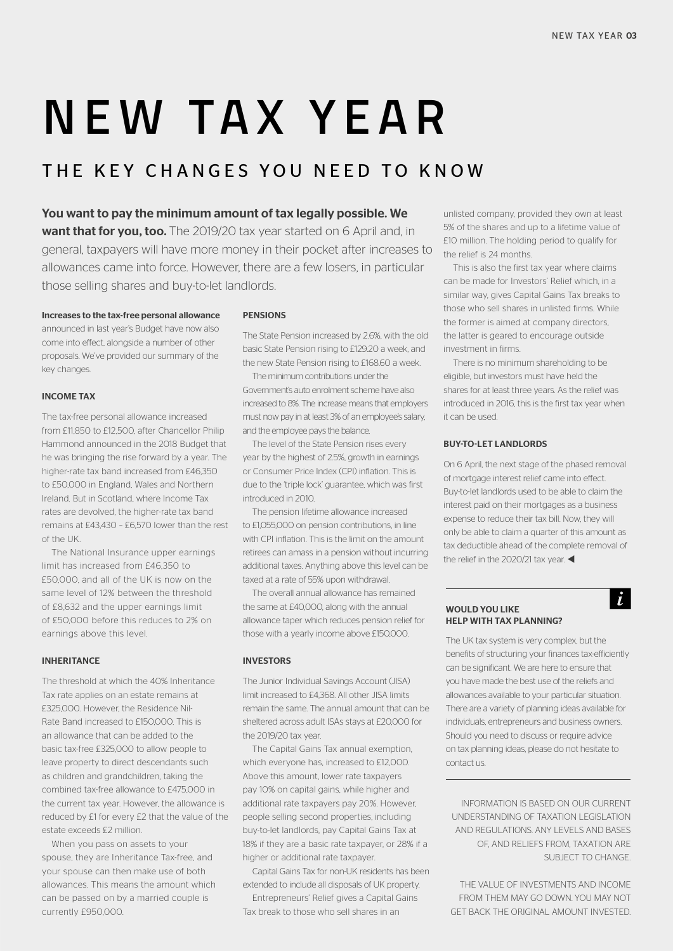# **NEW TAX YEAR**

### THE KEY CHANGES YOU NEED TO KNOW

#### You want to pay the minimum amount of tax legally possible. We

want that for you, too. The 2019/20 tax year started on 6 April and, in general, taxpayers will have more money in their pocket after increases to allowances came into force. However, there are a few losers, in particular those selling shares and buy-to-let landlords.

Increases to the tax-free personal allowance announced in last year's Budget have now also come into effect, alongside a number of other proposals. We've provided our summary of the key changes.

#### INCOME TAX

The tax-free personal allowance increased from £11,850 to £12,500, after Chancellor Philip Hammond announced in the 2018 Budget that he was bringing the rise forward by a year. The higher-rate tax band increased from £46,350 to £50,000 in England, Wales and Northern Ireland. But in Scotland, where Income Tax rates are devolved, the higher-rate tax band remains at £43,430 – £6,570 lower than the rest of the UK.

The National Insurance upper earnings limit has increased from £46,350 to £50,000, and all of the UK is now on the same level of 12% between the threshold of £8,632 and the upper earnings limit of £50,000 before this reduces to 2% on earnings above this level.

#### INHERITANCE

The threshold at which the 40% Inheritance Tax rate applies on an estate remains at £325,000. However, the Residence Nil-Rate Band increased to £150,000. This is an allowance that can be added to the basic tax-free £325,000 to allow people to leave property to direct descendants such as children and grandchildren, taking the combined tax-free allowance to £475,000 in the current tax year. However, the allowance is reduced by £1 for every £2 that the value of the estate exceeds £2 million.

When you pass on assets to your spouse, they are Inheritance Tax-free, and your spouse can then make use of both allowances. This means the amount which can be passed on by a married couple is currently £950,000.

#### PENSIONS

The State Pension increased by 2.6%, with the old basic State Pension rising to £129.20 a week, and the new State Pension rising to £168.60 a week.

The minimum contributions under the Government's auto enrolment scheme have also increased to 8%. The increase means that employers must now pay in at least 3% of an employee's salary, and the employee pays the balance.

The level of the State Pension rises every year by the highest of 2.5%, growth in earnings or Consumer Price Index (CPI) inflation. This is due to the 'triple lock' guarantee, which was first introduced in 2010.

The pension lifetime allowance increased to £1,055,000 on pension contributions, in line with CPI inflation. This is the limit on the amount retirees can amass in a pension without incurring additional taxes. Anything above this level can be taxed at a rate of 55% upon withdrawal.

The overall annual allowance has remained the same at £40,000, along with the annual allowance taper which reduces pension relief for those with a yearly income above £150,000.

#### INVESTORS

The Junior Individual Savings Account (JISA) limit increased to £4,368. All other JISA limits remain the same. The annual amount that can be sheltered across adult ISAs stays at £20,000 for the 2019/20 tax year.

The Capital Gains Tax annual exemption, which everyone has, increased to £12,000. Above this amount, lower rate taxpayers pay 10% on capital gains, while higher and additional rate taxpayers pay 20%. However, people selling second properties, including buy-to-let landlords, pay Capital Gains Tax at 18% if they are a basic rate taxpayer, or 28% if a higher or additional rate taxpayer.

Capital Gains Tax for non-UK residents has been extended to include all disposals of UK property.

Entrepreneurs' Relief gives a Capital Gains Tax break to those who sell shares in an

unlisted company, provided they own at least 5% of the shares and up to a lifetime value of £10 million. The holding period to qualify for the relief is 24 months.

This is also the first tax year where claims can be made for Investors' Relief which, in a similar way, gives Capital Gains Tax breaks to those who sell shares in unlisted firms. While the former is aimed at company directors, the latter is geared to encourage outside investment in firms.

There is no minimum shareholding to be eligible, but investors must have held the shares for at least three years. As the relief was introduced in 2016, this is the first tax year when it can be used.

#### BUY-TO-LET LANDLORDS

On 6 April, the next stage of the phased removal of mortgage interest relief came into effect. Buy-to-let landlords used to be able to claim the interest paid on their mortgages as a business expense to reduce their tax bill. Now, they will only be able to claim a quarter of this amount as tax deductible ahead of the complete removal of the relief in the 2020/21 tax year.

 $\dot{L}$ 

#### WOULD YOU LIKE HELP WITH TAX PLANNING?

The UK tax system is very complex, but the benefits of structuring your finances tax-efficiently can be significant. We are here to ensure that you have made the best use of the reliefs and allowances available to your particular situation. There are a variety of planning ideas available for individuals, entrepreneurs and business owners. Should you need to discuss or require advice on tax planning ideas, please do not hesitate to contact us.

INFORMATION IS BASED ON OUR CURRENT UNDERSTANDING OF TAXATION LEGISLATION AND REGULATIONS. ANY LEVELS AND BASES OF, AND RELIEFS FROM, TAXATION ARE SUBJECT TO CHANGE.

THE VALUE OF INVESTMENTS AND INCOME FROM THEM MAY GO DOWN. YOU MAY NOT GET BACK THE ORIGINAL AMOUNT INVESTED.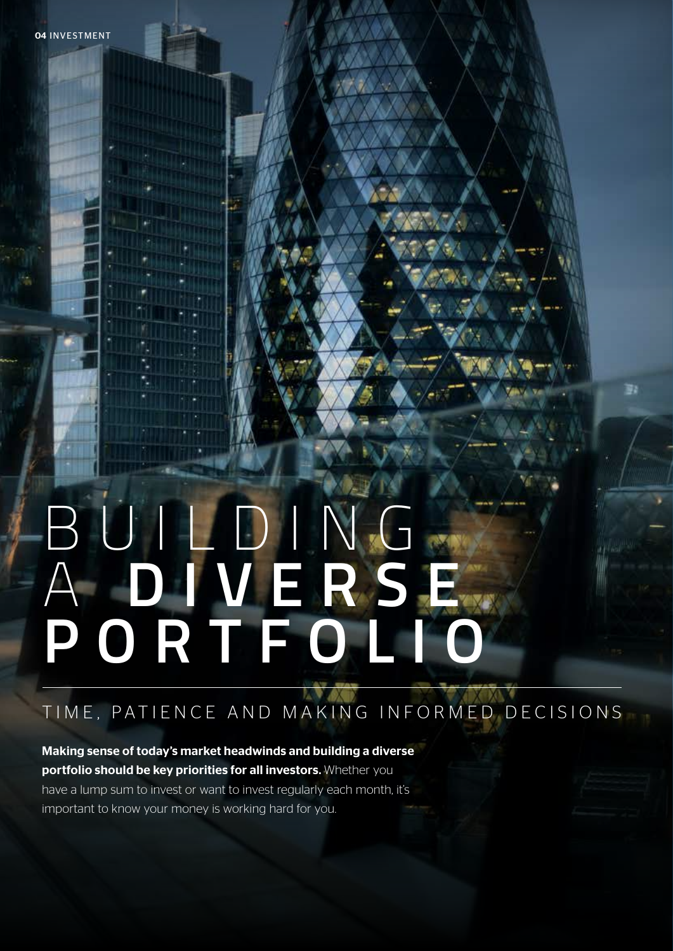# B U I L D I N G A **D I V E R S E PORTFOLIO**

## TIME, PATIENCE AND MAKING INFORMED DECISIONS

鄞

Making sense of today's market headwinds and building a diverse portfolio should be key priorities for all investors. Whether you have a lump sum to invest or want to invest regularly each month, it's important to know your money is working hard for you.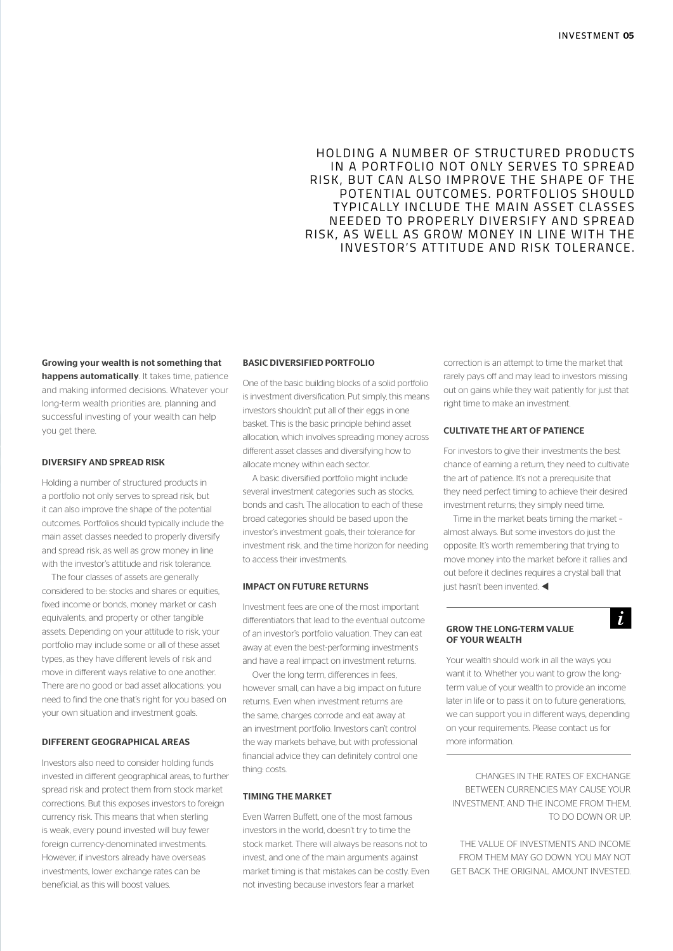#### HOLDING A NUMBER OF STRUCTURED PRODUCTS IN A PORTFOLIO NOT ONLY SERVES TO SPREAD RISK, BUT CAN ALSO IMPROVE THE SHAPE OF THE POTENTIAL OUTCOMES. PORTFOLIOS SHOULD TYPICALLY INCLUDE THE MAIN ASSET CLASSES NEEDED TO PROPERLY DIVERSIFY AND SPREAD RISK, AS WELL AS GROW MONEY IN LINE WITH THE INVESTOR'S ATTITUDE AND RISK TOLERANCE.

#### Growing your wealth is not something that happens automatically. It takes time, patience and making informed decisions. Whatever your long-term wealth priorities are, planning and successful investing of your wealth can help you get there.

#### DIVERSIFY AND SPREAD RISK

Holding a number of structured products in a portfolio not only serves to spread risk, but it can also improve the shape of the potential outcomes. Portfolios should typically include the main asset classes needed to properly diversify and spread risk, as well as grow money in line with the investor's attitude and risk tolerance.

The four classes of assets are generally considered to be: stocks and shares or equities, fixed income or bonds, money market or cash equivalents, and property or other tangible assets. Depending on your attitude to risk, your portfolio may include some or all of these asset types, as they have different levels of risk and move in different ways relative to one another. There are no good or bad asset allocations; you need to find the one that's right for you based on your own situation and investment goals.

#### DIFFERENT GEOGRAPHICAL AREAS

Investors also need to consider holding funds invested in different geographical areas, to further spread risk and protect them from stock market corrections. But this exposes investors to foreign currency risk. This means that when sterling is weak, every pound invested will buy fewer foreign currency-denominated investments. However, if investors already have overseas investments, lower exchange rates can be beneficial, as this will boost values.

#### BASIC DIVERSIFIED PORTFOLIO

One of the basic building blocks of a solid portfolio is investment diversification. Put simply, this means investors shouldn't put all of their eggs in one basket. This is the basic principle behind asset allocation, which involves spreading money across different asset classes and diversifying how to allocate money within each sector.

A basic diversified portfolio might include several investment categories such as stocks, bonds and cash. The allocation to each of these broad categories should be based upon the investor's investment goals, their tolerance for investment risk, and the time horizon for needing to access their investments.

#### IMPACT ON FUTURE RETURNS

Investment fees are one of the most important differentiators that lead to the eventual outcome of an investor's portfolio valuation. They can eat away at even the best-performing investments and have a real impact on investment returns.

Over the long term, differences in fees, however small, can have a big impact on future returns. Even when investment returns are the same, charges corrode and eat away at an investment portfolio. Investors can't control the way markets behave, but with professional financial advice they can definitely control one thing: costs.

#### TIMING THE MARKET

Even Warren Buffett, one of the most famous investors in the world, doesn't try to time the stock market. There will always be reasons not to invest, and one of the main arguments against market timing is that mistakes can be costly. Even not investing because investors fear a market

correction is an attempt to time the market that rarely pays off and may lead to investors missing out on gains while they wait patiently for just that right time to make an investment.

#### CULTIVATE THE ART OF PATIENCE

For investors to give their investments the best chance of earning a return, they need to cultivate the art of patience. It's not a prerequisite that they need perfect timing to achieve their desired investment returns; they simply need time.

Time in the market beats timing the market – almost always. But some investors do just the opposite. It's worth remembering that trying to move money into the market before it rallies and out before it declines requires a crystal ball that just hasn't been invented.  $\blacktriangleleft$ 

 $\dot{L}$ 

#### GROW THE LONG-TERM VALUE OF YOUR WEALTH

Your wealth should work in all the ways you want it to. Whether you want to grow the longterm value of your wealth to provide an income later in life or to pass it on to future generations, we can support you in different ways, depending on your requirements. Please contact us for more information.

CHANGES IN THE RATES OF EXCHANGE BETWEEN CURRENCIES MAY CAUSE YOUR INVESTMENT, AND THE INCOME FROM THEM, TO DO DOWN OR UP.

THE VALUE OF INVESTMENTS AND INCOME FROM THEM MAY GO DOWN. YOU MAY NOT GET BACK THE ORIGINAL AMOUNT INVESTED.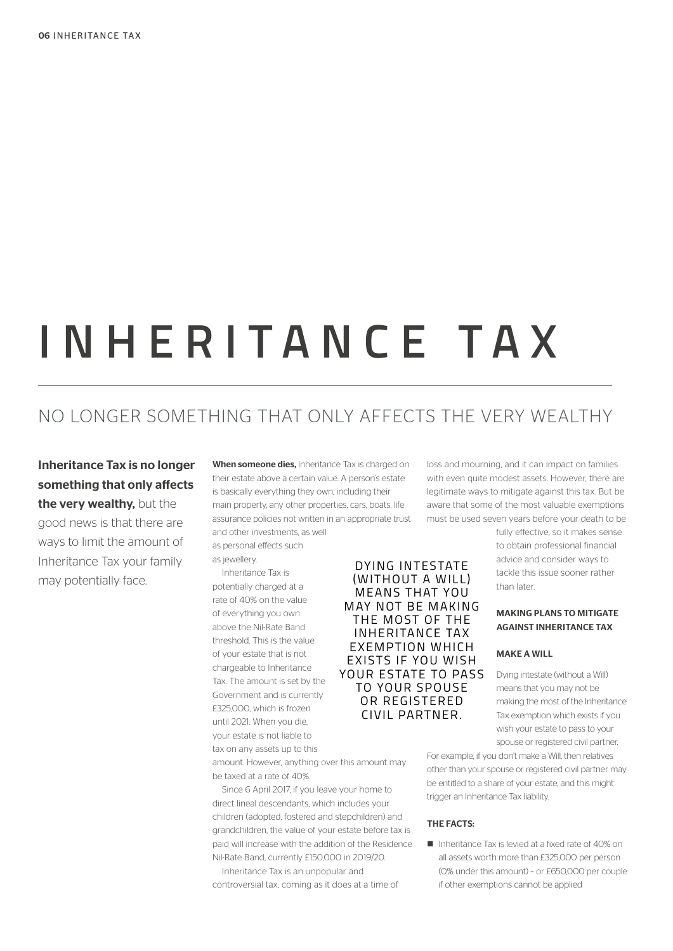# **INHERITANCE TAX**

### NO LONGER SOMETHING THAT ONLY AFFECTS THE VERY WEALTHY

Inheritance Tax is no longer something that only affects the very wealthy, but the good news is that there are ways to limit the amount of Inheritance Tax your family may potentially face.

When someone dies, Inheritance Tax is charged on their estate above a certain value. A person's estate is basically everything they own, including their main property, any other properties, cars, boats, life assurance policies not written in an appropriate trust and other investments, as well

as personal effects such

as jewellery.

Inheritance Tax is potentially charged at a rate of 40% on the value of everything you own above the Nil-Rate Band threshold. This is the value of your estate that is not chargeable to Inheritance Tax. The amount is set by the Government and is currently £325,000, which is frozen until 2021. When you die, your estate is not liable to tax on any assets up to this

DYING INTESTATE (WITHOUT A WILL) MEANS THAT YOU MAY NOT BE MAKING THE MOST OF THE INHERITANCE TAX EXEMPTION WHICH EXISTS IF YOU WISH YOUR ESTATE TO PASS TO YOUR SPOUSE OR REGISTERED CIVIL PARTNER.

amount. However, anything over this amount may be taxed at a rate of 40%.

Since 6 April 2017, if you leave your home to direct lineal descendants, which includes your children (adopted, fostered and stepchildren) and grandchildren, the value of your estate before tax is paid will increase with the addition of the Residence Nil-Rate Band, currently £150,000 in 2019/20.

Inheritance Tax is an unpopular and controversial tax, coming as it does at a time of loss and mourning, and it can impact on families with even quite modest assets. However, there are legitimate ways to mitigate against this tax. But be aware that some of the most valuable exemptions must be used seven years before your death to be

> fully effective, so it makes sense to obtain professional financial advice and consider ways to tackle this issue sooner rather than later.

#### MAKING PLANS TO MITIGATE AGAINST INHERITANCE TAX

#### MAKE A WILL

Dying intestate (without a Will) means that you may not be making the most of the Inheritance Tax exemption which exists if you wish your estate to pass to your spouse or registered civil partner.

For example, if you don't make a Will, then relatives other than your spouse or registered civil partner may be entitled to a share of your estate, and this might trigger an Inheritance Tax liability.

#### THE FACTS:

n Inheritance Tax is levied at a fixed rate of 40% on all assets worth more than £325,000 per person (0% under this amount) – or £650,000 per couple if other exemptions cannot be applied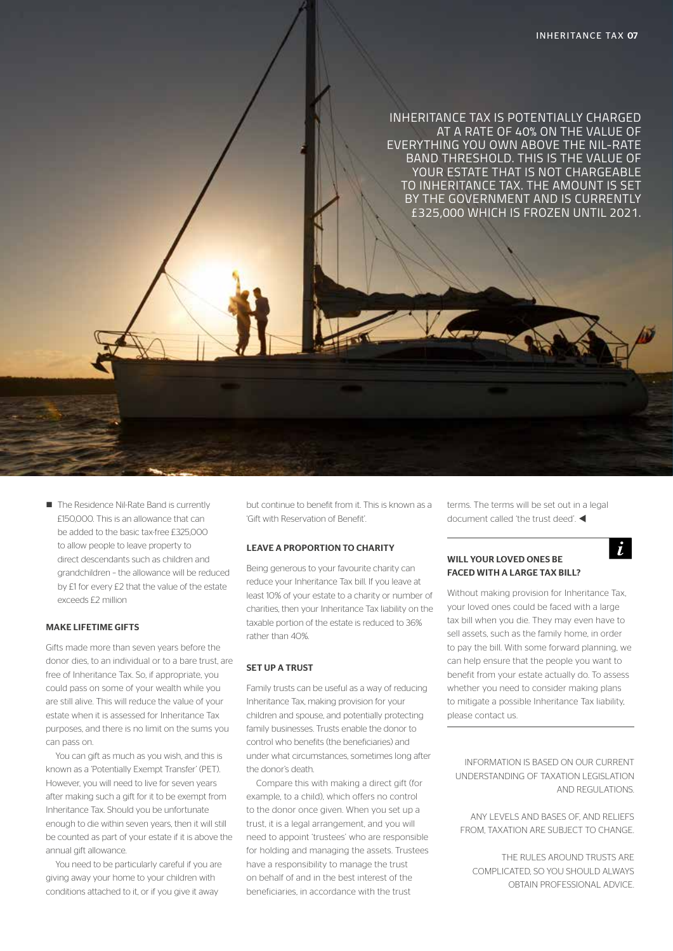

■ The Residence Nil-Rate Band is currently £150,000. This is an allowance that can be added to the basic tax-free £325,000 to allow people to leave property to direct descendants such as children and grandchildren – the allowance will be reduced by £1 for every £2 that the value of the estate exceeds £2 million

#### MAKE LIFETIME GIFTS

Gifts made more than seven years before the donor dies, to an individual or to a bare trust, are free of Inheritance Tax. So, if appropriate, you could pass on some of your wealth while you are still alive. This will reduce the value of your estate when it is assessed for Inheritance Tax purposes, and there is no limit on the sums you can pass on.

You can gift as much as you wish, and this is known as a 'Potentially Exempt Transfer' (PET). However, you will need to live for seven years after making such a gift for it to be exempt from Inheritance Tax. Should you be unfortunate enough to die within seven years, then it will still be counted as part of your estate if it is above the annual gift allowance.

You need to be particularly careful if you are giving away your home to your children with conditions attached to it, or if you give it away

but continue to benefit from it. This is known as a 'Gift with Reservation of Benefit'.

#### LEAVE A PROPORTION TO CHARITY

Being generous to your favourite charity can reduce your Inheritance Tax bill. If you leave at least 10% of your estate to a charity or number of charities, then your Inheritance Tax liability on the taxable portion of the estate is reduced to 36% rather than 40%.

#### SET UP A TRUST

Family trusts can be useful as a way of reducing Inheritance Tax, making provision for your children and spouse, and potentially protecting family businesses. Trusts enable the donor to control who benefits (the beneficiaries) and under what circumstances, sometimes long after the donor's death.

Compare this with making a direct gift (for example, to a child), which offers no control to the donor once given. When you set up a trust, it is a legal arrangement, and you will need to appoint 'trustees' who are responsible for holding and managing the assets. Trustees have a responsibility to manage the trust on behalf of and in the best interest of the beneficiaries, in accordance with the trust

terms. The terms will be set out in a legal document called 'the trust deed'

 $\dot{L}$ 

#### WILL YOUR LOVED ONES BE FACED WITH A LARGE TAX BILL?

Without making provision for Inheritance Tax, your loved ones could be faced with a large tax bill when you die. They may even have to sell assets, such as the family home, in order to pay the bill. With some forward planning, we can help ensure that the people you want to benefit from your estate actually do. To assess whether you need to consider making plans to mitigate a possible Inheritance Tax liability, please contact us.

INFORMATION IS BASED ON OUR CURRENT UNDERSTANDING OF TAXATION LEGISLATION AND REGULATIONS

ANY LEVELS AND BASES OF, AND RELIEFS FROM, TAXATION ARE SUBJECT TO CHANGE.

THE RULES AROUND TRUSTS ARE COMPLICATED, SO YOU SHOULD ALWAYS OBTAIN PROFESSIONAL ADVICE.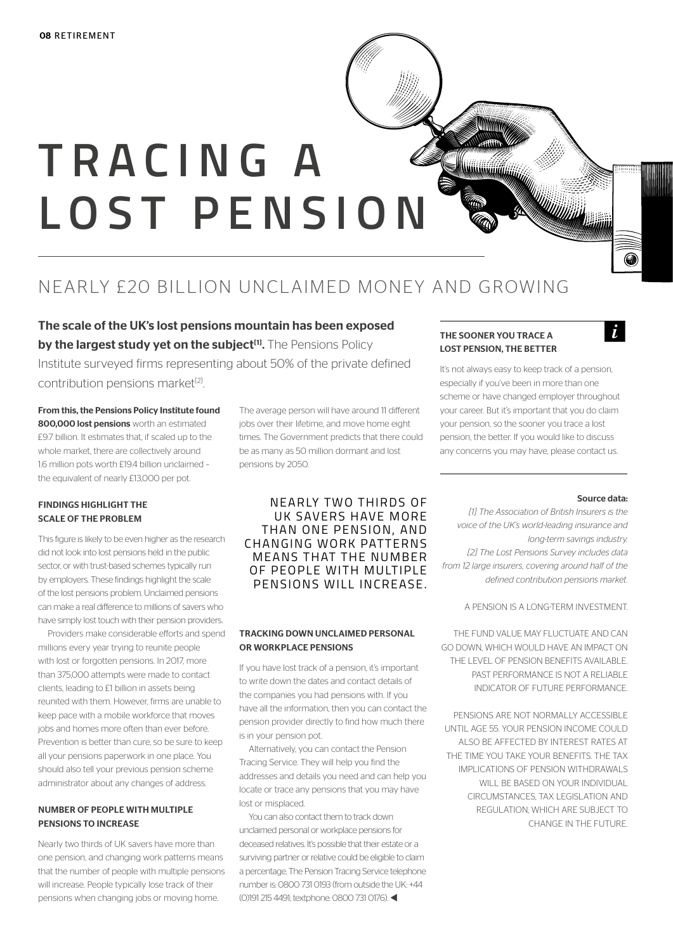# **T R A C I N G A LOST PENSION**

## NEARLY £20 BILLION UNCLAIMED MONEY AND GROWING

The scale of the UK's lost pensions mountain has been exposed by the largest study yet on the subject<sup>[1]</sup>. The Pensions Policy

Institute surveyed firms representing about 50% of the private defined contribution pensions market<sup>[2]</sup>.

From this, the Pensions Policy Institute found 800,000 lost pensions worth an estimated £9.7 billion. It estimates that, if scaled up to the whole market, there are collectively around 1.6 million pots worth £19.4 billion unclaimed – the equivalent of nearly £13,000 per pot.

#### FINDINGS HIGHLIGHT THE SCALE OF THE PROBLEM

This figure is likely to be even higher as the research did not look into lost pensions held in the public sector, or with trust-based schemes typically run by employers. These findings highlight the scale of the lost pensions problem. Unclaimed pensions can make a real difference to millions of savers who have simply lost touch with their pension providers.

Providers make considerable efforts and spend millions every year trying to reunite people with lost or forgotten pensions. In 2017, more than 375,000 attempts were made to contact clients, leading to £1 billion in assets being reunited with them. However, firms are unable to keep pace with a mobile workforce that moves jobs and homes more often than ever before. Prevention is better than cure, so be sure to keep all your pensions paperwork in one place. You should also tell your previous pension scheme administrator about any changes of address.

#### NUMBER OF PEOPLE WITH MULTIPLE PENSIONS TO INCREASE

Nearly two thirds of UK savers have more than one pension, and changing work patterns means that the number of people with multiple pensions will increase. People typically lose track of their pensions when changing jobs or moving home.

The average person will have around 11 different jobs over their lifetime, and move home eight times. The Government predicts that there could be as many as 50 million dormant and lost pensions by 2050.

#### NEARLY TWO THIRDS OF UK SAVERS HAVE MORE THAN ONE PENSION, AND CHANGING WORK PATTERNS MEANS THAT THE NUMBER OF PEOPLE WITH MULTIPLE PENSIONS WILL INCREASE.

#### TRACKING DOWN UNCLAIMED PERSONAL OR WORKPLACE PENSIONS

If you have lost track of a pension, it's important to write down the dates and contact details of the companies you had pensions with. If you have all the information, then you can contact the pension provider directly to find how much there is in your pension pot.

Alternatively, you can contact the Pension Tracing Service. They will help you find the addresses and details you need and can help you locate or trace any pensions that you may have lost or misplaced.

You can also contact them to track down unclaimed personal or workplace pensions for deceased relatives. It's possible that their estate or a surviving partner or relative could be eligible to claim a percentage. The Pension Tracing Service telephone number is: 0800 731 0193 (from outside the UK: +44 (0)191 215 4491; textphone: 0800 731 0176).

#### THE SOONER YOU TRACE A LOST PENSION, THE BETTER

WWW.WWW

It's not always easy to keep track of a pension, especially if you've been in more than one scheme or have changed employer throughout your career. But it's important that you do claim your pension, so the sooner you trace a lost pension, the better. If you would like to discuss any concerns you may have, please contact us.

<u>William</u>

#### Source data:

6

 $\dot{I}$ 

*[1] The Association of British Insurers is the voice of the UK's world-leading insurance and long-term savings industry. [2] The Lost Pensions Survey includes data from 12 large insurers, covering around half of the defined contribution pensions market.*

A PENSION IS A LONG-TERM INVESTMENT.

THE FUND VALUE MAY FLUCTUATE AND CAN GO DOWN, WHICH WOULD HAVE AN IMPACT ON THE LEVEL OF PENSION BENEFITS AVAILABLE. PAST PERFORMANCE IS NOT A RELIABLE INDICATOR OF FUTURE PERFORMANCE.

PENSIONS ARE NOT NORMALLY ACCESSIBLE UNTIL AGE 55. YOUR PENSION INCOME COULD ALSO BE AFFECTED BY INTEREST RATES AT THE TIME YOU TAKE YOUR BENEFITS. THE TAX IMPLICATIONS OF PENSION WITHDRAWALS WILL BE BASED ON YOUR INDIVIDUAL CIRCUMSTANCES, TAX LEGISLATION AND REGULATION, WHICH ARE SUBJECT TO CHANGE IN THE FUTURE.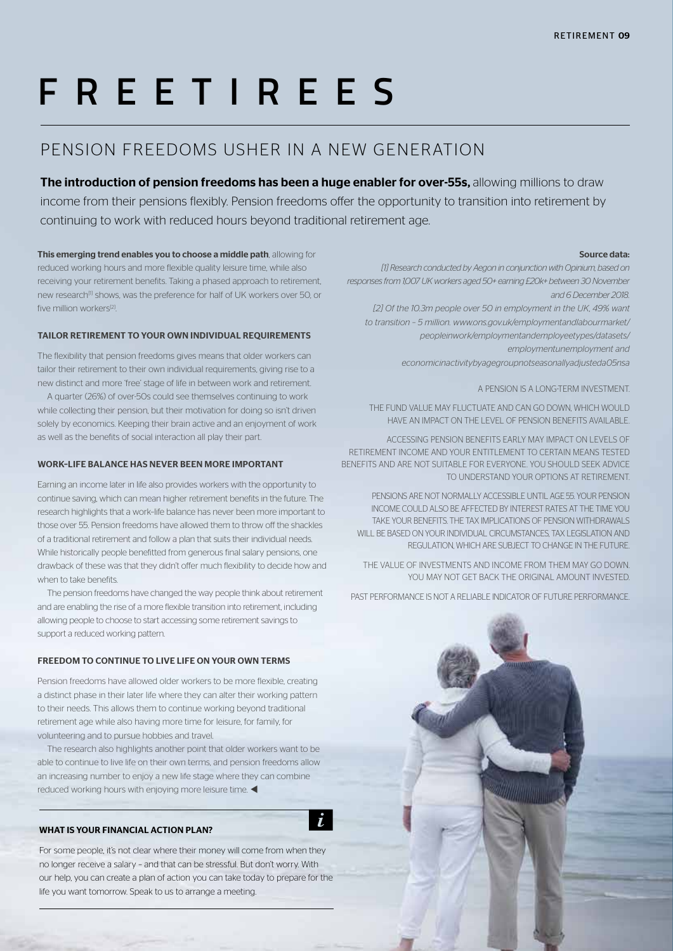## **FREETIREES**

### PENSION FREEDOMS USHER IN A NEW GENERATION

The introduction of pension freedoms has been a huge enabler for over-55s, allowing millions to draw income from their pensions flexibly. Pension freedoms offer the opportunity to transition into retirement by continuing to work with reduced hours beyond traditional retirement age.

 $\dot{\iota}$ 

This emerging trend enables you to choose a middle path, allowing for reduced working hours and more flexible quality leisure time, while also receiving your retirement benefits. Taking a phased approach to retirement, new research<sup>[1]</sup> shows, was the preference for half of UK workers over 50, or five million workers<sup>[2]</sup>.

#### TAILOR RETIREMENT TO YOUR OWN INDIVIDUAL REQUIREMENTS

The flexibility that pension freedoms gives means that older workers can tailor their retirement to their own individual requirements, giving rise to a new distinct and more 'free' stage of life in between work and retirement.

A quarter (26%) of over-50s could see themselves continuing to work while collecting their pension, but their motivation for doing so isn't driven solely by economics. Keeping their brain active and an enjoyment of work as well as the benefits of social interaction all play their part.

#### WORK–LIFE BALANCE HAS NEVER BEEN MORE IMPORTANT

Earning an income later in life also provides workers with the opportunity to continue saving, which can mean higher retirement benefits in the future. The research highlights that a work–life balance has never been more important to those over 55. Pension freedoms have allowed them to throw off the shackles of a traditional retirement and follow a plan that suits their individual needs. While historically people benefitted from generous final salary pensions, one drawback of these was that they didn't offer much flexibility to decide how and when to take benefits.

The pension freedoms have changed the way people think about retirement and are enabling the rise of a more flexible transition into retirement, including allowing people to choose to start accessing some retirement savings to support a reduced working pattern.

#### FREEDOM TO CONTINUE TO LIVE LIFE ON YOUR OWN TERMS

Pension freedoms have allowed older workers to be more flexible, creating a distinct phase in their later life where they can alter their working pattern to their needs. This allows them to continue working beyond traditional retirement age while also having more time for leisure, for family, for volunteering and to pursue hobbies and travel.

The research also highlights another point that older workers want to be able to continue to live life on their own terms, and pension freedoms allow an increasing number to enjoy a new life stage where they can combine reduced working hours with enjoying more leisure time.  $\blacktriangleleft$ 

#### WHAT IS YOUR FINANCIAL ACTION PLAN?

For some people, it's not clear where their money will come from when they no longer receive a salary – and that can be stressful. But don't worry. With our help, you can create a plan of action you can take today to prepare for the life you want tomorrow. Speak to us to arrange a meeting.

#### Source data:

*[1] Research conducted by Aegon in conjunction with Opinium, based on responses from 1,007 UK workers aged 50+ earning £20k+ between 30 November and 6 December 2018.*

[2] Of the 10.3m people over 50 in employment in the UK, 49% want *to transition – 5 million. www.ons.gov.uk/employmentandlabourmarket/ peopleinwork/employmentandemployeetypes/datasets/ employmentunemployment and economicinactivitybyagegroupnotseasonallyadjusteda05nsa*

A PENSION IS A LONG-TERM INVESTMENT.

THE FUND VALUE MAY FLUCTUATE AND CAN GO DOWN, WHICH WOULD HAVE AN IMPACT ON THE LEVEL OF PENSION BENEFITS AVAILABLE.

ACCESSING PENSION BENEFITS EARLY MAY IMPACT ON LEVELS OF RETIREMENT INCOME AND YOUR ENTITLEMENT TO CERTAIN MEANS TESTED BENEFITS AND ARE NOT SUITABLE FOR EVERYONE. YOU SHOULD SEEK ADVICE TO UNDERSTAND YOUR OPTIONS AT RETIREMENT.

PENSIONS ARE NOT NORMALLY ACCESSIBLE UNTIL AGE 55. YOUR PENSION INCOME COULD ALSO BE AFFECTED BY INTEREST RATES AT THE TIME YOU TAKE YOUR BENEFITS. THE TAX IMPLICATIONS OF PENSION WITHDRAWALS WILL BE BASED ON YOUR INDIVIDUAL CIRCUMSTANCES, TAX LEGISLATION AND REGULATION, WHICH ARE SUBJECT TO CHANGE IN THE FUTURE.

THE VALUE OF INVESTMENTS AND INCOME FROM THEM MAY GO DOWN. YOU MAY NOT GET BACK THE ORIGINAL AMOUNT INVESTED.

PAST PERFORMANCE IS NOT A RELIABLE INDICATOR OF FUTURE PERFORMANCE.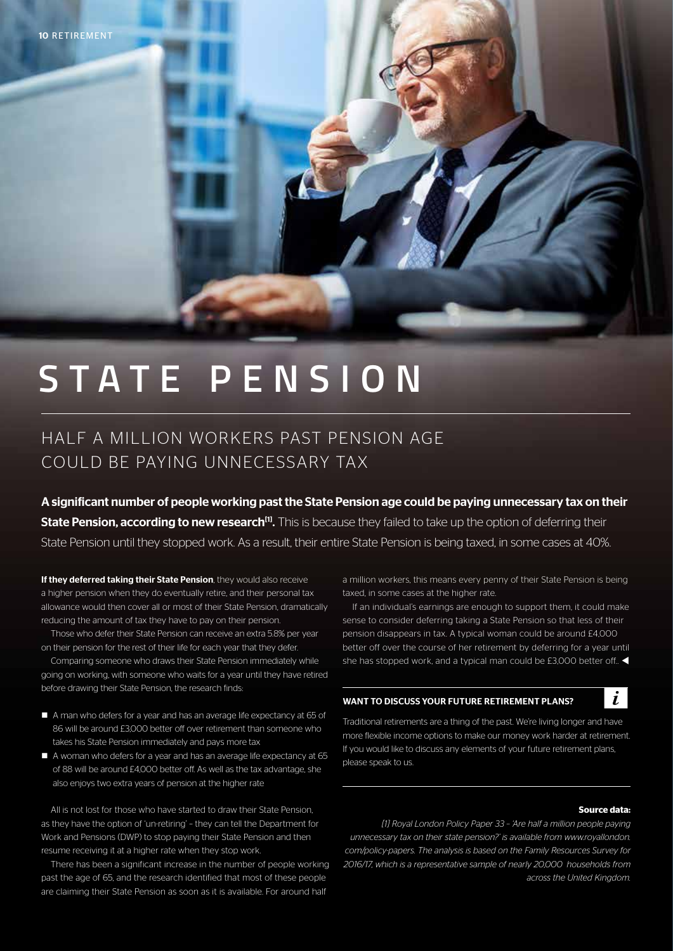## **STATE PENSION**

### HALF A MILLION WORKERS PAST PENSION AGE COULD BE PAYING UNNECESSARY TAX

A significant number of people working past the State Pension age could be paying unnecessary tax on their State Pension, according to new research<sup>[1]</sup>. This is because they failed to take up the option of deferring their State Pension until they stopped work. As a result, their entire State Pension is being taxed, in some cases at 40%.

If they deferred taking their State Pension, they would also receive a higher pension when they do eventually retire, and their personal tax allowance would then cover all or most of their State Pension, dramatically reducing the amount of tax they have to pay on their pension.

Those who defer their State Pension can receive an extra 5.8% per year on their pension for the rest of their life for each year that they defer.

Comparing someone who draws their State Pension immediately while going on working, with someone who waits for a year until they have retired before drawing their State Pension, the research finds:

- A man who defers for a year and has an average life expectancy at 65 of 86 will be around £3,000 better off over retirement than someone who takes his State Pension immediately and pays more tax
- $\blacksquare$  A woman who defers for a year and has an average life expectancy at 65 of 88 will be around £4,000 better off. As well as the tax advantage, she also enjoys two extra years of pension at the higher rate

All is not lost for those who have started to draw their State Pension, as they have the option of 'un-retiring' – they can tell the Department for Work and Pensions (DWP) to stop paying their State Pension and then resume receiving it at a higher rate when they stop work.

There has been a significant increase in the number of people working past the age of 65, and the research identified that most of these people are claiming their State Pension as soon as it is available. For around half

a million workers, this means every penny of their State Pension is being taxed, in some cases at the higher rate.

If an individual's earnings are enough to support them, it could make sense to consider deferring taking a State Pension so that less of their pension disappears in tax. A typical woman could be around £4,000 better off over the course of her retirement by deferring for a year until she has stopped work, and a typical man could be £3,000 better off..  $\blacktriangleleft$ 

#### WANT TO DISCUSS YOUR FUTURE RETIREMENT PLANS?

 $\dot{L}$ 

Traditional retirements are a thing of the past. We're living longer and have more flexible income options to make our money work harder at retirement. If you would like to discuss any elements of your future retirement plans, please speak to us.

#### **Source data:**

*[1] Royal London Policy Paper 33 – 'Are half a million people paying unnecessary tax on their state pension?' is available from www.royallondon. com/policy-papers. The analysis is based on the Family Resources Survey for 2016/17, which is a representative sample of nearly 20,000 households from across the United Kingdom.*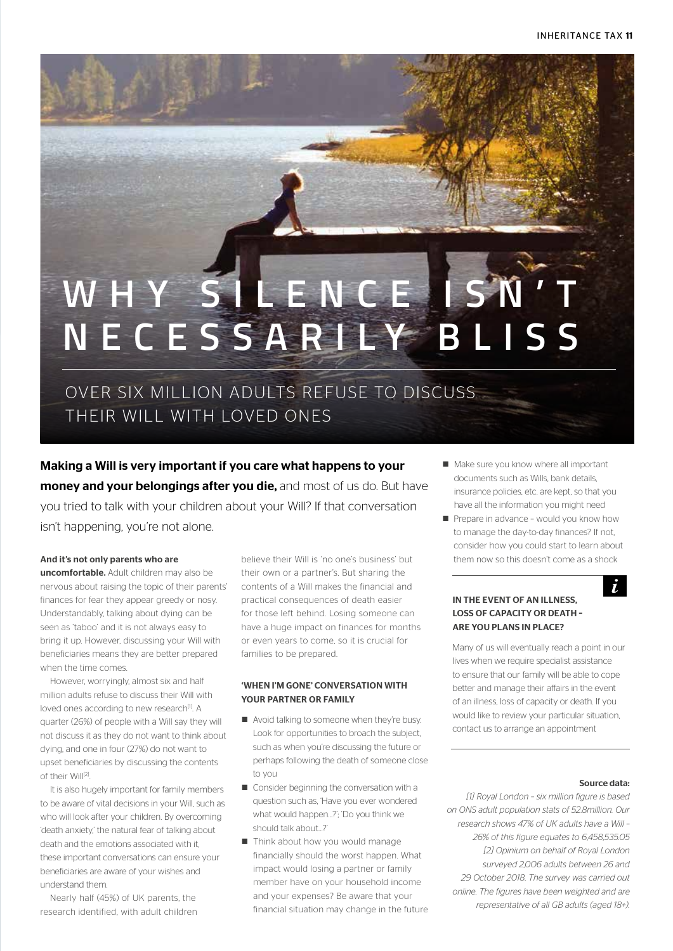## WHY SILENCE IS N'T **NECESSARILY BLISS**

OVER SIX MILLION ADULTS REFUSE TO DISCUSS THEIR WILL WITH LOVED ONES

Making a Will is very important if you care what happens to your money and your belongings after you die, and most of us do. But have you tried to talk with your children about your Will? If that conversation isn't happening, you're not alone.

#### And it's not only parents who are

uncomfortable. Adult children may also be nervous about raising the topic of their parents' finances for fear they appear greedy or nosy. Understandably, talking about dying can be seen as 'taboo' and it is not always easy to bring it up. However, discussing your Will with beneficiaries means they are better prepared when the time comes.

However, worryingly, almost six and half million adults refuse to discuss their Will with loved ones according to new research<sup>[1]</sup>. A quarter (26%) of people with a Will say they will not discuss it as they do not want to think about dying, and one in four (27%) do not want to upset beneficiaries by discussing the contents of their Will[2].

It is also hugely important for family members to be aware of vital decisions in your Will, such as who will look after your children. By overcoming 'death anxiety,' the natural fear of talking about death and the emotions associated with it, these important conversations can ensure your beneficiaries are aware of your wishes and understand them.

Nearly half (45%) of UK parents, the research identified, with adult children

believe their Will is 'no one's business' but their own or a partner's. But sharing the contents of a Will makes the financial and practical consequences of death easier for those left behind. Losing someone can have a huge impact on finances for months or even years to come, so it is crucial for families to be prepared.

#### 'WHEN I'M GONE' CONVERSATION WITH YOUR PARTNER OR FAMILY

- Avoid talking to someone when they're busy. Look for opportunities to broach the subject, such as when you're discussing the future or perhaps following the death of someone close to you
- $\blacksquare$  Consider beginning the conversation with a question such as, 'Have you ever wondered what would happen…?'; 'Do you think we should talk about…?'
- Think about how you would manage financially should the worst happen. What impact would losing a partner or family member have on your household income and your expenses? Be aware that your financial situation may change in the future
- $\blacksquare$  Make sure you know where all important documents such as Wills, bank details, insurance policies, etc. are kept, so that you have all the information you might need
- Prepare in advance would you know how to manage the day-to-day finances? If not, consider how you could start to learn about them now so this doesn't come as a shock

#### IN THE EVENT OF AN ILLNESS, LOSS OF CAPACITY OR DEATH – ARE YOU PLANS IN PLACE?

Many of us will eventually reach a point in our lives when we require specialist assistance to ensure that our family will be able to cope better and manage their affairs in the event of an illness, loss of capacity or death. If you would like to review your particular situation, contact us to arrange an appointment

#### Source data:

 $\dot{I}$ 

*[1] Royal London – six million figure is based on ONS adult population stats of 52.8million. Our research shows 47% of UK adults have a Will – 26% of this figure equates to 6,458,535.05 [2] Opinium on behalf of Royal London surveyed 2,006 adults between 26 and 29 October 2018. The survey was carried out online. The figures have been weighted and are representative of all GB adults (aged 18+).*